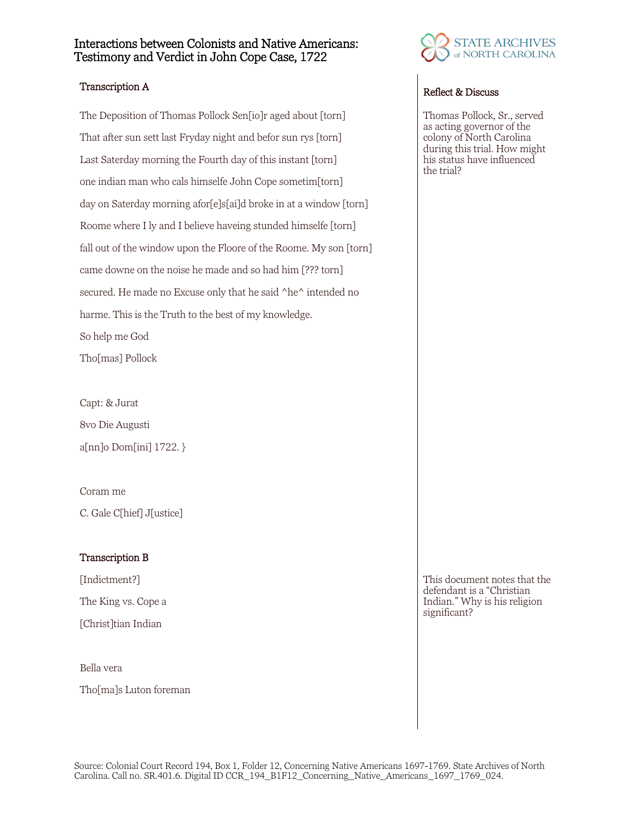## Interactions between Colonists and Native Americans: Testimony and Verdict in John Cope Case, 1722

# Transcription A Reflect & Discuss

The Deposition of Thomas Pollock Sen<sup>[io]</sup>r aged about [torn] That after sun sett last Fryday night and befor sun rys [torn] Last Saterday morning the Fourth day of this instant [torn] one indian man who cals himselfe John Cope sometim[torn] day on Saterday morning afor[e]s[ai]d broke in at a window [torn] Roome where I ly and I believe haveing stunded himselfe [torn] fall out of the window upon the Floore of the Roome. My son [torn] came downe on the noise he made and so had him [??? torn] secured. He made no Excuse only that he said ^he^ intended no harme. This is the Truth to the best of my knowledge. So help me God Tho[mas] Pollock

Capt: & Jurat 8vo Die Augusti a[nn]o Dom[ini] 1722. }

Coram me C. Gale C[hief] J[ustice]

### Transcription B

[Indictment?] The King vs. Cope a [Christ]tian Indian

Bella vera

Tho[ma]s Luton foreman



Thomas Pollock, Sr., served as acting governor of the colony of North Carolina during this trial. How might his status have influenced the trial?

This document notes that the defendant is a "Christian Indian." Why is his religion significant?